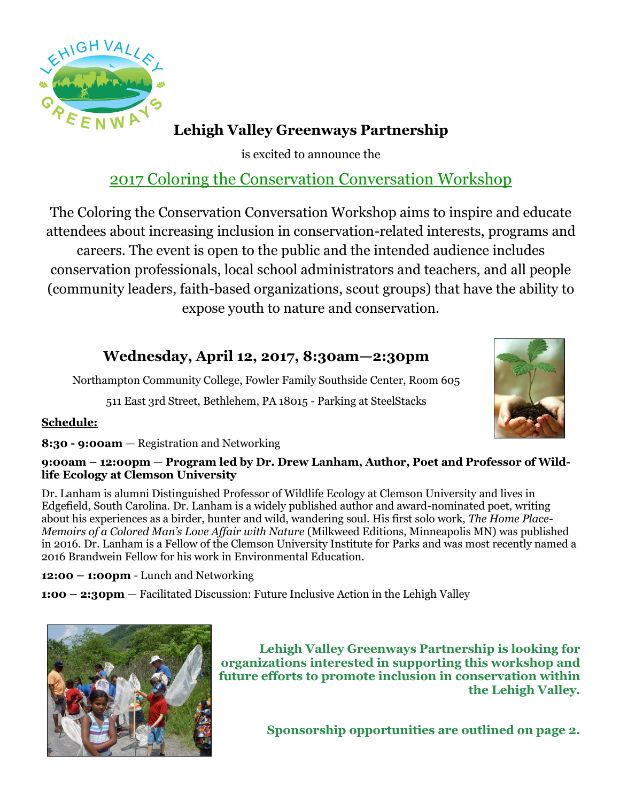

## **Lehigh Valley Greenways Partnership**

is excited to announce the

## 2017 Coloring the Conservation Conversation Workshop

The Coloring the Conservation Conversation Workshop aims to inspire and educate attendees about increasing inclusion in conservation-related interests, programs and careers. The event is open to the public and the intended audience includes conservation professionals, local school administrators and teachers, and all people (community leaders, faith-based organizations, scout groups) that have the ability to expose youth to nature and conservation.

### **Wednesday, April 12, 2017, 8:30am—2:30pm**

Northampton Community College, Fowler Family Southside Center, Room 605

511 East 3rd Street, Bethlehem, PA 18015 - Parking at SteelStacks



#### **Schedule:**

**8:30 - 9:00am** — Registration and Networking

#### **9:00am – 12:00pm** — **Program led by Dr. Drew Lanham, Author, Poet and Professor of Wildlife Ecology at Clemson University**

Dr. Lanham is alumni Distinguished Professor of Wildlife Ecology at Clemson University and lives in Edgefield, South Carolina. Dr. Lanham is a widely published author and award-nominated poet, writing about his experiences as a birder, hunter and wild, wandering soul. His first solo work, *The Home Place-Memoirs of a Colored Man's Love Affair with Nature* (Milkweed Editions, Minneapolis MN) was published in 2016. Dr. Lanham is a Fellow of the Clemson University Institute for Parks and was most recently named a 2016 Brandwein Fellow for his work in Environmental Education.

**12:00 – 1:00pm** - Lunch and Networking

**1:00 – 2:30pm** — Facilitated Discussion: Future Inclusive Action in the Lehigh Valley



**Lehigh Valley Greenways Partnership is looking for organizations interested in supporting this workshop and future efforts to promote inclusion in conservation within the Lehigh Valley.** 

**Sponsorship opportunities are outlined on page 2.**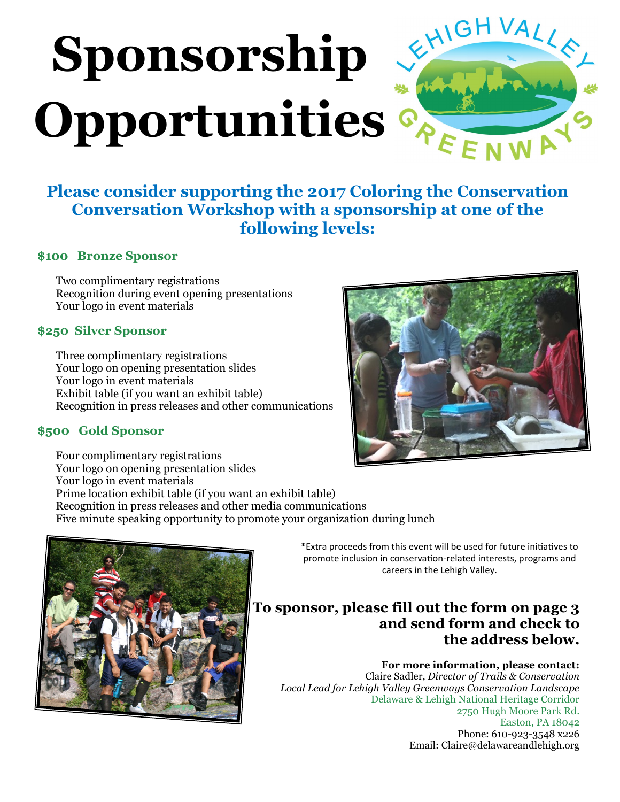# EHIGHVALLE **Sponsorship** Opportunities<sup></sup>

## **Please consider supporting the 2017 Coloring the Conservation Conversation Workshop with a sponsorship at one of the following levels:**

#### **\$100 Bronze Sponsor**

Two complimentary registrations Recognition during event opening presentations Your logo in event materials

#### **\$250 Silver Sponsor**

Three complimentary registrations Your logo on opening presentation slides Your logo in event materials Exhibit table (if you want an exhibit table) Recognition in press releases and other communications

#### **\$500 Gold Sponsor**

Four complimentary registrations Your logo on opening presentation slides Your logo in event materials Prime location exhibit table (if you want an exhibit table) Recognition in press releases and other media communications Five minute speaking opportunity to promote your organization during lunch



\*Extra proceeds from this event will be used for future initiatives to promote inclusion in conservation-related interests, programs and careers in the Lehigh Valley.

#### **To sponsor, please fill out the form on page 3 and send form and check to the address below.**

#### **For more information, please contact:**

Claire Sadler, *Director of Trails & Conservation Local Lead for Lehigh Valley Greenways Conservation Landscape* Delaware & Lehigh National Heritage Corridor 2750 Hugh Moore Park Rd. Easton, PA 18042 Phone: 610-923-3548 x226 Email: Claire@delawareandlehigh.org